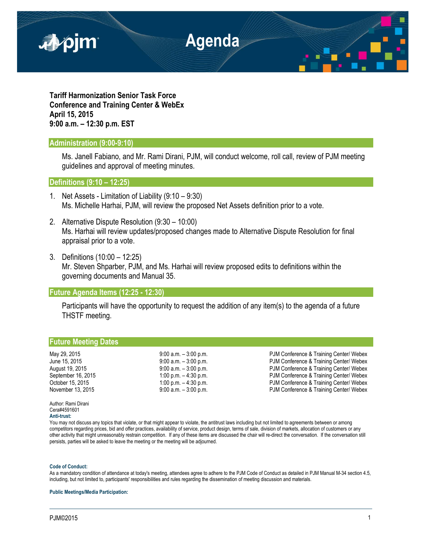

**Tariff Harmonization Senior Task Force Conference and Training Center & WebEx April 15, 2015 9:00 a.m. – 12:30 p.m. EST**

## **Administration (9:00-9:10)**

Ms. Janell Fabiano, and Mr. Rami Dirani, PJM, will conduct welcome, roll call, review of PJM meeting guidelines and approval of meeting minutes.

**Definitions (9:10 – 12:25)** 

- 1. Net Assets Limitation of Liability (9:10 9:30) Ms. Michelle Harhai, PJM, will review the proposed Net Assets definition prior to a vote.
- 2. Alternative Dispute Resolution (9:30 10:00) Ms. Harhai will review updates/proposed changes made to Alternative Dispute Resolution for final appraisal prior to a vote.
- 3. Definitions (10:00 12:25) Mr. Steven Shparber, PJM, and Ms. Harhai will review proposed edits to definitions within the governing documents and Manual 35.

## **Future Agenda Items (12:25 - 12:30)**

Participants will have the opportunity to request the addition of any item(s) to the agenda of a future THSTF meeting.

## **Future Meeting Dates**

May 29, 2015 **19:00 a.m. – 3:00 p.m.** PJM Conference & Training Center/ Webex June 15, 2015 **9:00 a.m. – 3:00 p.m.** PJM Conference & Training Center/ Webex August 19, 2015 **19:00 a.m. – 3:00 p.m.** PJM Conference & Training Center/ Webex September 16, 2015 1:00 p.m. – 4:30 p.m. – 9:30 p.m. PJM Conference & Training Center/ Webex October 15, 2015 **1:00 p.m.** – 4:30 p.m.<br>November 13, 2015 **1:00 p.m.** PJM Conference & Training Center/ Webex<br>PJM Conference & Training Center/ Webex PJM Conference & Training Center/ Webex

Author: Rami Dirani Cera#4591601 **Anti-trust:**

You may not discuss any topics that violate, or that might appear to violate, the antitrust laws including but not limited to agreements between or among competitors regarding prices, bid and offer practices, availability of service, product design, terms of sale, division of markets, allocation of customers or any other activity that might unreasonably restrain competition. If any of these items are discussed the chair will re-direct the conversation. If the conversation still persists, parties will be asked to leave the meeting or the meeting will be adjourned.

## **Code of Conduct:**

As a mandatory condition of attendance at today's meeting, attendees agree to adhere to the PJM Code of Conduct as detailed in PJM Manual M-34 section 4.5, including, but not limited to, participants' responsibilities and rules regarding the dissemination of meeting discussion and materials.

**Public Meetings/Media Participation:**